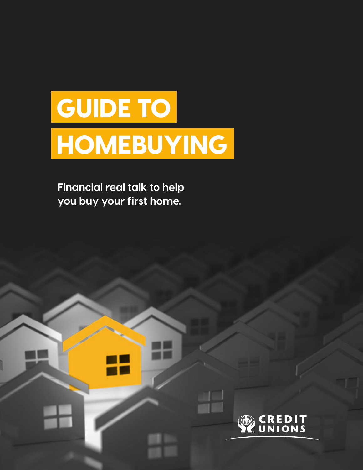# GUIDE TO HOMEBUYING

**Financial real talk to help you buy your first home.**

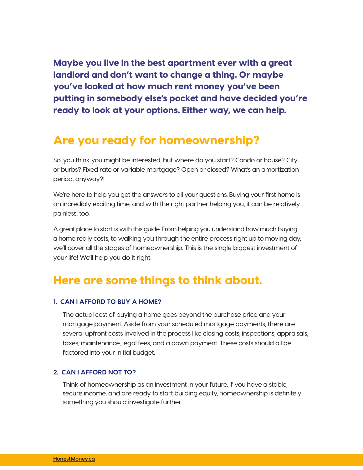Maybe you live in the best apartment ever with a great landlord and don't want to change a thing. Or maybe you've looked at how much rent money you've been putting in somebody else's pocket and have decided you're ready to look at your options. Either way, we can help.

## Are you ready for homeownership?

So, you think you might be interested, but where do you start? Condo or house? City or burbs? Fixed rate or variable mortgage? Open or closed? What's an amortization period, anyway?!

We're here to help you get the answers to all your questions. Buying your first home is an incredibly exciting time, and with the right partner helping you, it can be relatively painless, too.

A great place to start is with this guide. From helping you understand how much buying a home really costs, to walking you through the entire process right up to moving day, we'll cover all the stages of homeownership. This is the single biggest investment of your life! We'll help you do it right.

## Here are some things to think about.

#### **1. CAN I AFFORD TO BUY A HOME?**

The actual cost of buying a home goes beyond the purchase price and your mortgage payment. Aside from your scheduled mortgage payments, there are several upfront costs involved in the process like closing costs, inspections, appraisals, taxes, maintenance, legal fees, and a down payment. These costs should all be factored into your initial budget.

#### **2. CAN I AFFORD NOT TO?**

Think of homeownership as an investment in your future. If you have a stable, secure income, and are ready to start building equity, homeownership is definitely something you should investigate further.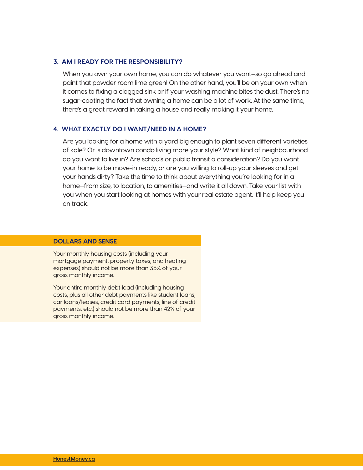#### **3. AM I READY FOR THE RESPONSIBILITY?**

When you own your own home, you can do whatever you want—so go ahead and paint that powder room lime green! On the other hand, you'll be on your own when it comes to fixing a clogged sink or if your washing machine bites the dust. There's no sugar-coating the fact that owning a home can be a lot of work. At the same time, there's a great reward in taking a house and really making it your home.

#### **4. WHAT EXACTLY DO I WANT/NEED IN A HOME?**

Are you looking for a home with a yard big enough to plant seven different varieties of kale? Or is downtown condo living more your style? What kind of neighbourhood do you want to live in? Are schools or public transit a consideration? Do you want your home to be move-in ready, or are you willing to roll-up your sleeves and get your hands dirty? Take the time to think about everything you're looking for in a home—from size, to location, to amenities—and write it all down. Take your list with you when you start looking at homes with your real estate agent. It'll help keep you on track.

#### **DOLLARS AND SENSE**

Your monthly housing costs (including your mortgage payment, property taxes, and heating expenses) should not be more than 35% of your gross monthly income.

Your entire monthly debt load (including housing costs, plus all other debt payments like student loans, car loans/leases, credit card payments, line of credit payments, etc.) should not be more than 42% of your gross monthly income.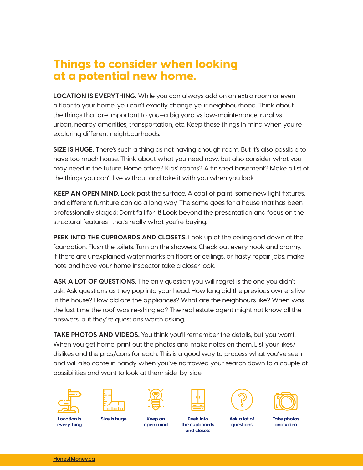## Things to consider when looking at a potential new home.

**LOCATION IS EVERYTHING.** While you can always add on an extra room or even a floor to your home, you can't exactly change your neighbourhood. Think about the things that are important to you—a big yard vs low-maintenance, rural vs urban, nearby amenities, transportation, etc. Keep these things in mind when you're exploring different neighbourhoods.

**SIZE IS HUGE.** There's such a thing as not having enough room. But it's also possible to have too much house. Think about what you need now, but also consider what you may need in the future. Home office? Kids' rooms? A finished basement? Make a list of the things you can't live without and take it with you when you look.

**KEEP AN OPEN MIND.** Look past the surface. A coat of paint, some new light fixtures, and different furniture can go a long way. The same goes for a house that has been professionally staged: Don't fall for it! Look beyond the presentation and focus on the structural features—that's really what you're buying.

**PEEK INTO THE CUPBOARDS AND CLOSETS.** Look up at the ceiling and down at the foundation. Flush the toilets. Turn on the showers. Check out every nook and cranny. If there are unexplained water marks on floors or ceilings, or hasty repair jobs, make note and have your home inspector take a closer look.

**ASK A LOT OF QUESTIONS.** The only question you will regret is the one you didn't ask. Ask questions as they pop into your head. How long did the previous owners live in the house? How old are the appliances? What are the neighbours like? When was the last time the roof was re-shingled? The real estate agent might not know all the answers, but they're questions worth asking.

**TAKE PHOTOS AND VIDEOS.** You think you'll remember the details, but you won't. When you get home, print out the photos and make notes on them. List your likes/ dislikes and the pros/cons for each. This is a good way to process what you've seen and will also come in handy when you've narrowed your search down to a couple of possibilities and want to look at them side-by-side.













**Location is everything**

**Keep an open mind Size is huge Take photos** 

**Peek into the cupboards and closets**

**Ask a lot of questions**

**and video**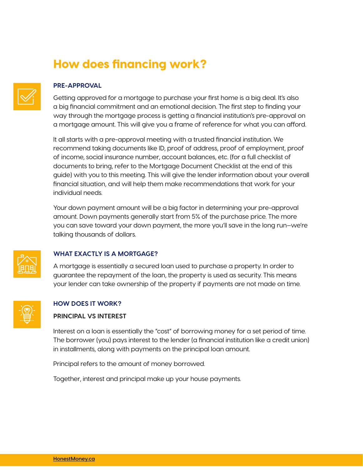# How does financing work?



#### **PRE-APPROVAL**

Getting approved for a mortgage to purchase your first home is a big deal. It's also a big financial commitment and an emotional decision. The first step to finding your way through the mortgage process is getting a financial institution's pre-approval on a mortgage amount. This will give you a frame of reference for what you can afford.

It all starts with a pre-approval meeting with a trusted financial institution. We recommend taking documents like ID, proof of address, proof of employment, proof of income, social insurance number, account balances, etc. (for a full checklist of documents to bring, refer to the Mortgage Document Checklist at the end of this guide) with you to this meeting. This will give the lender information about your overall financial situation, and will help them make recommendations that work for your individual needs.

Your down payment amount will be a big factor in determining your pre-approval amount. Down payments generally start from 5% of the purchase price. The more you can save toward your down payment, the more you'll save in the long run—we're talking thousands of dollars.



#### **WHAT EXACTLY IS A MORTGAGE?**

A mortgage is essentially a secured loan used to purchase a property. In order to guarantee the repayment of the loan, the property is used as security. This means your lender can take ownership of the property if payments are not made on time.



#### **HOW DOES IT WORK?**

#### **PRINCIPAL VS INTEREST**

Interest on a loan is essentially the "cost" of borrowing money for a set period of time. The borrower (you) pays interest to the lender (a financial institution like a credit union) in installments, along with payments on the principal loan amount.

Principal refers to the amount of money borrowed.

Together, interest and principal make up your house payments.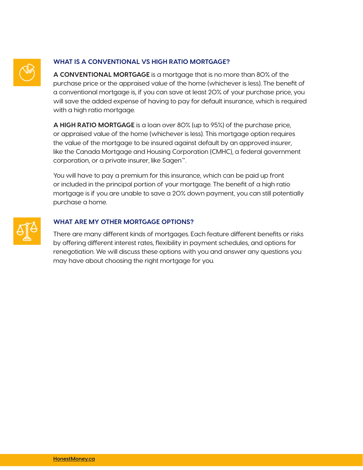

#### **WHAT IS A CONVENTIONAL VS HIGH RATIO MORTGAGE?**

**A CONVENTIONAL MORTGAGE** is a mortgage that is no more than 80% of the purchase price or the appraised value of the home (whichever is less). The benefit of a conventional mortgage is, if you can save at least 20% of your purchase price, you will save the added expense of having to pay for default insurance, which is required with a high ratio mortgage.

**A HIGH RATIO MORTGAGE** is a loan over 80% (up to 95%) of the purchase price, or appraised value of the home (whichever is less). This mortgage option requires the value of the mortgage to be insured against default by an approved insurer, like the Canada Mortgage and Housing Corporation (CMHC), a federal government corporation, or a private insurer, like Sagen™.

You will have to pay a premium for this insurance, which can be paid up front or included in the principal portion of your mortgage. The benefit of a high ratio mortgage is if you are unable to save a 20% down payment, you can still potentially purchase a home.



#### **WHAT ARE MY OTHER MORTGAGE OPTIONS?**

There are many different kinds of mortgages. Each feature different benefits or risks by offering different interest rates, flexibility in payment schedules, and options for renegotiation. We will discuss these options with you and answer any questions you may have about choosing the right mortgage for you.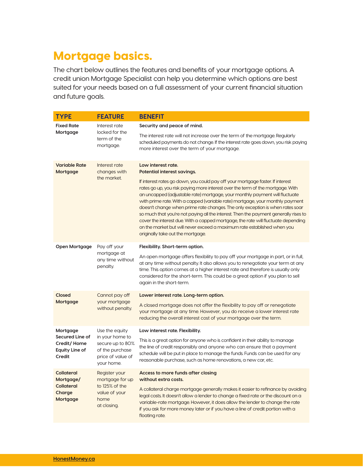# Mortgage basics.

The chart below outlines the features and benefits of your mortgage options. A credit union Mortgage Specialist can help you determine which options are best suited for your needs based on a full assessment of your current financial situation and future goals.

| <b>TYPE</b>                                                                   | <b>FEATURE</b>                                                                                              | <b>BENEFIT</b>                                                                                                                                                                                                                                                                                                                                                                                                                                                                                                                                                                                                                                                                                                 |
|-------------------------------------------------------------------------------|-------------------------------------------------------------------------------------------------------------|----------------------------------------------------------------------------------------------------------------------------------------------------------------------------------------------------------------------------------------------------------------------------------------------------------------------------------------------------------------------------------------------------------------------------------------------------------------------------------------------------------------------------------------------------------------------------------------------------------------------------------------------------------------------------------------------------------------|
| <b>Fixed Rate</b><br>Mortgage                                                 | Interest rate<br>locked for the<br>term of the<br>mortgage.                                                 | Security and peace of mind.                                                                                                                                                                                                                                                                                                                                                                                                                                                                                                                                                                                                                                                                                    |
|                                                                               |                                                                                                             | The interest rate will not increase over the term of the mortgage. Regularly<br>scheduled payments do not change. If the interest rate goes down, you risk paying<br>more interest over the term of your mortgage.                                                                                                                                                                                                                                                                                                                                                                                                                                                                                             |
| <b>Variable Rate</b><br>Mortgage                                              | Interest rate<br>changes with<br>the market.                                                                | Low interest rate.<br>Potential interest savings.                                                                                                                                                                                                                                                                                                                                                                                                                                                                                                                                                                                                                                                              |
|                                                                               |                                                                                                             | If interest rates go down, you could pay off your mortgage faster. If interest<br>rates go up, you risk paying more interest over the term of the mortgage. With<br>an uncapped (adjustable rate) mortgage, your monthly payment will fluctuate<br>with prime rate. With a capped (variable rate) mortgage, your monthly payment<br>doesn't change when prime rate changes. The only exception is when rates soar<br>so much that you're not paying all the interest. Then the payment generally rises to<br>cover the interest due. With a capped mortgage, the rate will fluctuate depending<br>on the market but will never exceed a maximum rate established when you<br>originally take out the mortgage. |
| Open Mortgage                                                                 | Pay off your<br>mortgage at<br>any time without<br>penalty.                                                 | Flexibility. Short-term option.                                                                                                                                                                                                                                                                                                                                                                                                                                                                                                                                                                                                                                                                                |
|                                                                               |                                                                                                             | An open mortgage offers flexibility to pay off your mortgage in part, or in full,<br>at any time without penalty. It also allows you to renegotiate your term at any<br>time. This option comes at a higher interest rate and therefore is usually only<br>considered for the short-term. This could be a great option if you plan to sell<br>again in the short-term.                                                                                                                                                                                                                                                                                                                                         |
| Closed<br>Mortgage                                                            | Cannot pay off<br>your mortgage<br>without penalty.                                                         | Lower interest rate. Long-term option.                                                                                                                                                                                                                                                                                                                                                                                                                                                                                                                                                                                                                                                                         |
|                                                                               |                                                                                                             | A closed mortgage does not offer the flexibility to pay off or renegotiate<br>your mortgage at any time. However, you do receive a lower interest rate<br>reducing the overall interest cost of your mortgage over the term.                                                                                                                                                                                                                                                                                                                                                                                                                                                                                   |
| Mortgage<br>Secured Line of<br>Credit/Home<br><b>Equity Line of</b><br>Credit | Use the equity<br>in your home to<br>secure up to 80%<br>of the purchase<br>price of value of<br>your home. | Low interest rate. Flexibility.                                                                                                                                                                                                                                                                                                                                                                                                                                                                                                                                                                                                                                                                                |
|                                                                               |                                                                                                             | This is a great option for anyone who is confident in their ability to manage<br>the line of credit responsibly and anyone who can ensure that a payment<br>schedule will be put in place to manage the funds. Funds can be used for any<br>reasonable purchase, such as home renovations, a new car, etc.                                                                                                                                                                                                                                                                                                                                                                                                     |
| <b>Collateral</b><br>Mortgage/<br><b>Collateral</b><br>Charge<br>Mortgage     | Register your<br>mortgage for up<br>to 125% of the<br>value of your<br>home<br>at closing.                  | Access to more funds after closing<br>without extra costs.                                                                                                                                                                                                                                                                                                                                                                                                                                                                                                                                                                                                                                                     |
|                                                                               |                                                                                                             | A collateral charge mortgage generally makes it easier to refinance by avoiding<br>legal costs. It doesn't allow a lender to change a fixed rate or the discount on a<br>variable-rate mortgage. However, it does allow the lender to change the rate<br>if you ask for more money later or if you have a line of credit portion with a<br>floating rate.                                                                                                                                                                                                                                                                                                                                                      |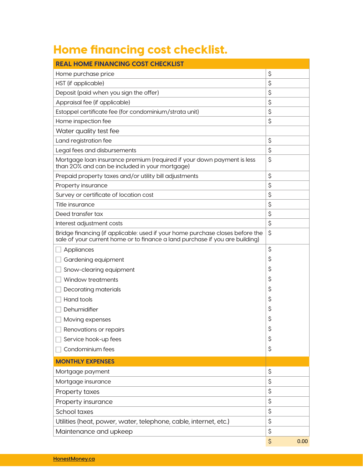# Home financing cost checklist.

| <b>REAL HOME FINANCING COST CHECKLIST</b>                                                                                                                     |            |  |  |
|---------------------------------------------------------------------------------------------------------------------------------------------------------------|------------|--|--|
| Home purchase price                                                                                                                                           | \$         |  |  |
| HST (if applicable)                                                                                                                                           | \$         |  |  |
| Deposit (paid when you sign the offer)                                                                                                                        | \$         |  |  |
| Appraisal fee (if applicable)                                                                                                                                 | \$         |  |  |
| Estoppel certificate fee (for condominium/strata unit)                                                                                                        | \$         |  |  |
| Home inspection fee                                                                                                                                           | \$         |  |  |
| Water quality test fee                                                                                                                                        |            |  |  |
| Land registration fee                                                                                                                                         | \$         |  |  |
| Legal fees and disbursements                                                                                                                                  | \$         |  |  |
| Mortgage loan insurance premium (required if your down payment is less<br>than 20% and can be included in your mortgage)                                      | \$         |  |  |
| Prepaid property taxes and/or utility bill adjustments                                                                                                        | \$         |  |  |
| Property insurance                                                                                                                                            | \$         |  |  |
| Survey or certificate of location cost                                                                                                                        | \$         |  |  |
| Title insurance                                                                                                                                               | \$         |  |  |
| Deed transfer tax                                                                                                                                             | \$         |  |  |
| Interest adjustment costs                                                                                                                                     | \$         |  |  |
| Bridge financing (if applicable: used if your home purchase closes before the<br>sale of your current home or to finance a land purchase if you are building) | \$         |  |  |
| Appliances                                                                                                                                                    | \$         |  |  |
| Gardening equipment                                                                                                                                           | \$         |  |  |
| Snow-clearing equipment                                                                                                                                       | \$         |  |  |
| Window treatments                                                                                                                                             | \$         |  |  |
| Decorating materials                                                                                                                                          | \$         |  |  |
| Hand tools                                                                                                                                                    | \$         |  |  |
| Dehumidifier                                                                                                                                                  | \$         |  |  |
| Moving expenses                                                                                                                                               | \$         |  |  |
| Renovations or repairs                                                                                                                                        | \$         |  |  |
| Service hook-up fees                                                                                                                                          | \$         |  |  |
| Condominium fees                                                                                                                                              | \$         |  |  |
| <b>MONTHLY EXPENSES</b>                                                                                                                                       |            |  |  |
| Mortgage payment                                                                                                                                              | \$         |  |  |
| Mortgage insurance                                                                                                                                            | \$         |  |  |
| Property taxes                                                                                                                                                | \$         |  |  |
| Property insurance                                                                                                                                            | \$         |  |  |
| School taxes                                                                                                                                                  | \$         |  |  |
| Utilities (heat, power, water, telephone, cable, internet, etc.)                                                                                              | \$         |  |  |
| Maintenance and upkeep                                                                                                                                        | \$         |  |  |
|                                                                                                                                                               | \$<br>0.00 |  |  |